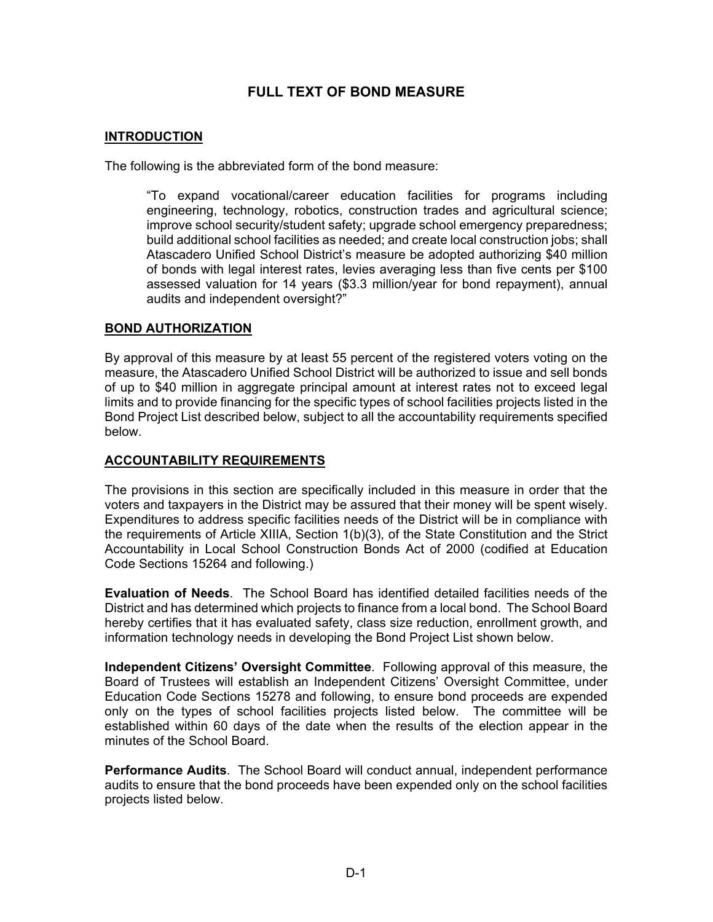# **FULL TEXT OF BOND MEASURE**

#### **INTRODUCTION**

The following is the abbreviated form of the bond measure:

"To expand vocational/career education facilities for programs including engineering, technology, robotics, construction trades and agricultural science; improve school security/student safety; upgrade school emergency preparedness; build additional school facilities as needed; and create local construction jobs; shall Atascadero Unified School District's measure be adopted authorizing \$40 million of bonds with legal interest rates, levies averaging less than five cents per \$100 assessed valuation for 14 years (\$3.3 million/year for bond repayment), annual audits and independent oversight?"

#### **BOND AUTHORIZATION**

By approval of this measure by at least 55 percent of the registered voters voting on the measure, the Atascadero Unified School District will be authorized to issue and sell bonds of up to \$40 million in aggregate principal amount at interest rates not to exceed legal limits and to provide financing for the specific types of school facilities projects listed in the Bond Project List described below, subject to all the accountability requirements specified below.

### **ACCOUNTABILITY REQUIREMENTS**

The provisions in this section are specifically included in this measure in order that the voters and taxpayers in the District may be assured that their money will be spent wisely. Expenditures to address specific facilities needs of the District will be in compliance with the requirements of Article XIIIA, Section 1(b)(3), of the State Constitution and the Strict Accountability in Local School Construction Bonds Act of 2000 (codified at Education Code Sections 15264 and following.)

**Evaluation of Needs**. The School Board has identified detailed facilities needs of the District and has determined which projects to finance from a local bond. The School Board hereby certifies that it has evaluated safety, class size reduction, enrollment growth, and information technology needs in developing the Bond Project List shown below.

**Independent Citizens' Oversight Committee**. Following approval of this measure, the Board of Trustees will establish an Independent Citizens' Oversight Committee, under Education Code Sections 15278 and following, to ensure bond proceeds are expended only on the types of school facilities projects listed below. The committee will be established within 60 days of the date when the results of the election appear in the minutes of the School Board.

**Performance Audits**. The School Board will conduct annual, independent performance audits to ensure that the bond proceeds have been expended only on the school facilities projects listed below.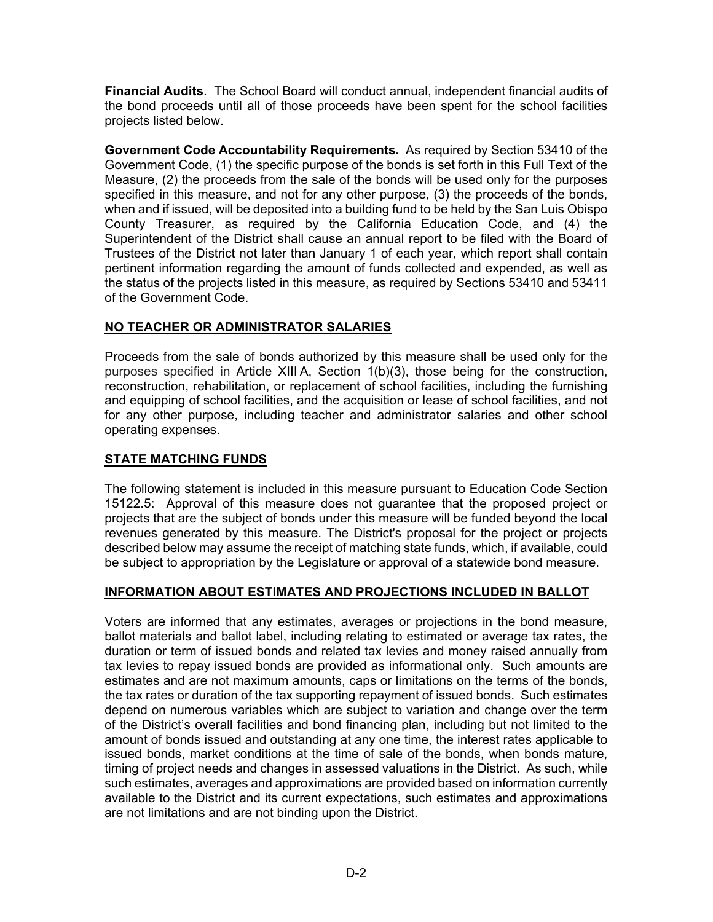**Financial Audits**. The School Board will conduct annual, independent financial audits of the bond proceeds until all of those proceeds have been spent for the school facilities projects listed below.

**Government Code Accountability Requirements.** As required by Section 53410 of the Government Code, (1) the specific purpose of the bonds is set forth in this Full Text of the Measure, (2) the proceeds from the sale of the bonds will be used only for the purposes specified in this measure, and not for any other purpose, (3) the proceeds of the bonds, when and if issued, will be deposited into a building fund to be held by the San Luis Obispo County Treasurer, as required by the California Education Code, and (4) the Superintendent of the District shall cause an annual report to be filed with the Board of Trustees of the District not later than January 1 of each year, which report shall contain pertinent information regarding the amount of funds collected and expended, as well as the status of the projects listed in this measure, as required by Sections 53410 and 53411 of the Government Code.

### **NO TEACHER OR ADMINISTRATOR SALARIES**

Proceeds from the sale of bonds authorized by this measure shall be used only for the purposes specified in Article XIII A, Section 1(b)(3), those being for the construction, reconstruction, rehabilitation, or replacement of school facilities, including the furnishing and equipping of school facilities, and the acquisition or lease of school facilities, and not for any other purpose, including teacher and administrator salaries and other school operating expenses.

## **STATE MATCHING FUNDS**

The following statement is included in this measure pursuant to Education Code Section 15122.5: Approval of this measure does not guarantee that the proposed project or projects that are the subject of bonds under this measure will be funded beyond the local revenues generated by this measure. The District's proposal for the project or projects described below may assume the receipt of matching state funds, which, if available, could be subject to appropriation by the Legislature or approval of a statewide bond measure.

## **INFORMATION ABOUT ESTIMATES AND PROJECTIONS INCLUDED IN BALLOT**

Voters are informed that any estimates, averages or projections in the bond measure, ballot materials and ballot label, including relating to estimated or average tax rates, the duration or term of issued bonds and related tax levies and money raised annually from tax levies to repay issued bonds are provided as informational only. Such amounts are estimates and are not maximum amounts, caps or limitations on the terms of the bonds, the tax rates or duration of the tax supporting repayment of issued bonds. Such estimates depend on numerous variables which are subject to variation and change over the term of the District's overall facilities and bond financing plan, including but not limited to the amount of bonds issued and outstanding at any one time, the interest rates applicable to issued bonds, market conditions at the time of sale of the bonds, when bonds mature, timing of project needs and changes in assessed valuations in the District. As such, while such estimates, averages and approximations are provided based on information currently available to the District and its current expectations, such estimates and approximations are not limitations and are not binding upon the District.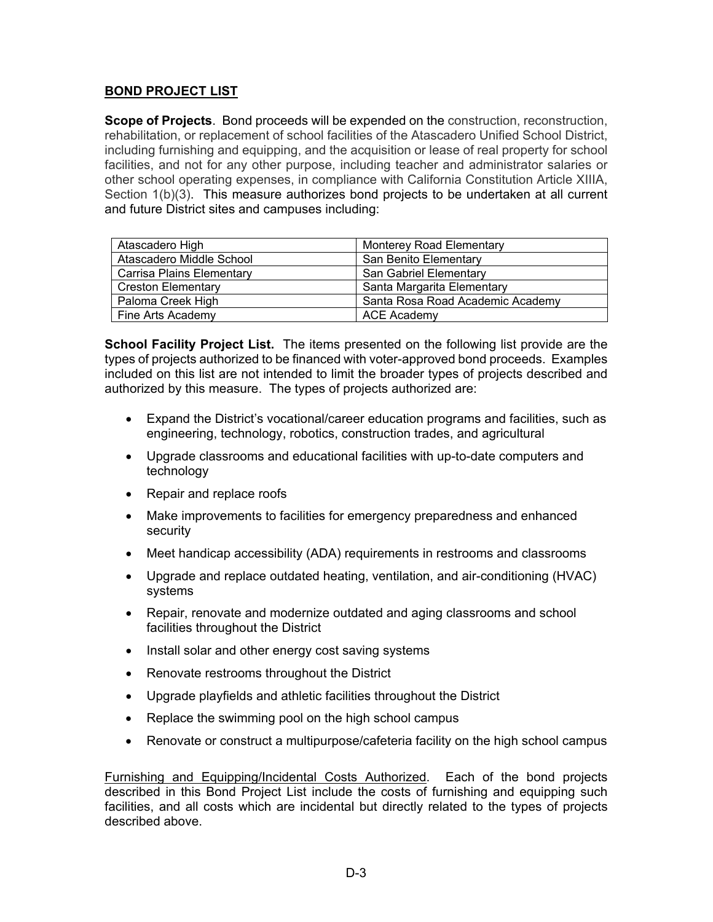### **BOND PROJECT LIST**

**Scope of Projects**. Bond proceeds will be expended on the construction, reconstruction, rehabilitation, or replacement of school facilities of the Atascadero Unified School District, including furnishing and equipping, and the acquisition or lease of real property for school facilities, and not for any other purpose, including teacher and administrator salaries or other school operating expenses, in compliance with California Constitution Article XIIIA, Section  $1(b)(3)$ . This measure authorizes bond projects to be undertaken at all current and future District sites and campuses including:

| Atascadero High           | Monterey Road Elementary         |
|---------------------------|----------------------------------|
| Atascadero Middle School  | San Benito Elementary            |
| Carrisa Plains Elementary | San Gabriel Elementary           |
| <b>Creston Elementary</b> | Santa Margarita Elementary       |
| Paloma Creek High         | Santa Rosa Road Academic Academy |
| Fine Arts Academy         | ACE Academy                      |

**School Facility Project List.** The items presented on the following list provide are the types of projects authorized to be financed with voter-approved bond proceeds. Examples included on this list are not intended to limit the broader types of projects described and authorized by this measure. The types of projects authorized are:

- Expand the District's vocational/career education programs and facilities, such as engineering, technology, robotics, construction trades, and agricultural
- Upgrade classrooms and educational facilities with up-to-date computers and technology
- Repair and replace roofs
- Make improvements to facilities for emergency preparedness and enhanced security
- Meet handicap accessibility (ADA) requirements in restrooms and classrooms
- Upgrade and replace outdated heating, ventilation, and air-conditioning (HVAC) systems
- Repair, renovate and modernize outdated and aging classrooms and school facilities throughout the District
- Install solar and other energy cost saving systems
- Renovate restrooms throughout the District
- Upgrade playfields and athletic facilities throughout the District
- Replace the swimming pool on the high school campus
- Renovate or construct a multipurpose/cafeteria facility on the high school campus

Furnishing and Equipping/Incidental Costs Authorized. Each of the bond projects described in this Bond Project List include the costs of furnishing and equipping such facilities, and all costs which are incidental but directly related to the types of projects described above.